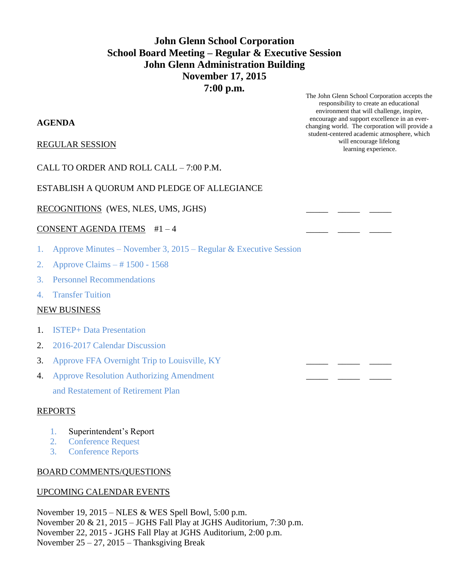# **John Glenn School Corporation School Board Meeting – Regular & Executive Session John Glenn Administration Building November 17, 2015 7:00 p.m.**

### **AGENDA**

REGULAR SESSION

CALL TO ORDER AND ROLL CALL – 7:00 P.M.

## ESTABLISH A QUORUM AND PLEDGE OF ALLEGIANCE

RECOGNITIONS (WES, NLES, UMS, JGHS)

#### CONSENT AGENDA ITEMS  $#1-4$

- 1. Approve Minutes November 3, 2015 Regular & Executive Session
- 2. Approve Claims # 1500 1568
- 3. Personnel Recommendations
- 4. Transfer Tuition

#### NEW BUSINESS

- 1. ISTEP+ Data Presentation
- 2. 2016-2017 Calendar Discussion
- 3. Approve FFA Overnight Trip to Louisville, KY
- 4. Approve Resolution Authorizing Amendment and Restatement of Retirement Plan

#### REPORTS

- 1. Superintendent's Report
- 2. Conference Request
- 3. Conference Reports

#### BOARD COMMENTS/QUESTIONS

#### UPCOMING CALENDAR EVENTS

November 19, 2015 – NLES & WES Spell Bowl, 5:00 p.m. November 20 & 21, 2015 – JGHS Fall Play at JGHS Auditorium, 7:30 p.m. November 22, 2015 - JGHS Fall Play at JGHS Auditorium, 2:00 p.m. November 25 – 27, 2015 – Thanksgiving Break

The John Glenn School Corporation accepts the responsibility to create an educational environment that will challenge, inspire, encourage and support excellence in an everchanging world. The corporation will provide a student-centered academic atmosphere, which will encourage lifelong learning experience.